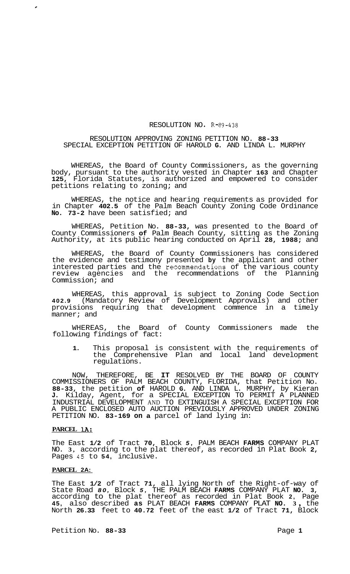### RESOLUTION NO. R-89-438

## RESOLUTION APPROVING ZONING PETITION NO. **88-33**  SPECIAL EXCEPTION PETITION OF HAROLD **G.** AND LINDA L. MURPHY

WHEREAS, the Board of County Commissioners, as the governing body, pursuant to the authority vested in Chapter **163** and Chapter **125,** Florida Statutes, is authorized and empowered to consider petitions relating to zoning; and

WHEREAS, the notice and hearing requirements as provided for in Chapter **402.5** of the Palm Beach County Zoning Code Ordinance **No. 73-2** have been satisfied; and

WHEREAS, Petition No. **88-33,** was presented to the Board of County Commissioners **of** Palm Beach County, sitting as the Zoning Authority, at its public hearing conducted on April **28, 1988;** and

WHEREAS, the Board of County Commissioners has considered the evidence and testimony presented **by** the applicant and other interested parties and the recommendations of the various county review agencies and the recommendations of the Planning Commission; and

WHEREAS, this approval is subject to Zoning Code Section **402.9** (Mandatory Review of Development Approvals) and other provisions requiring that development commence in a timely manner; and

WHEREAS, the Board of County Commissioners made the following findings of fact:

**1.** This proposal is consistent with the requirements of the Comprehensive Plan and local land development regulations.

NOW, THEREFORE, BE **IT** RESOLVED BY THE BOARD OF COUNTY COMMISSIONERS OF PALM BEACH COUNTY, FLORIDA, that Petition No. **88-33,** the petition **of** HAROLD **G.** AND LINDA L. MURPHY, by Kieran **J.** Kilday, Agent, for a SPECIAL EXCEPTION TO PERMIT A PLANNED INDUSTRIAL DEVELOPMENT AND TO EXTINGUISH A SPECIAL EXCEPTION FOR A PUBLIC ENCLOSED AUTO AUCTION PREVIOUSLY APPROVED UNDER ZONING PETITION NO. **83-169 on a** parcel of land lying in:

# **PARCEL lA:**

*c* 

The East **1/2** of Tract **70,** Block *5,* PALM BEACH **FARMS** COMPANY PLAT NO. **3,** according to the plat thereof, as recorded in Plat Book **2,**  Pages **45** to **54,** inclusive.

#### **PARCEL 2A:**

The East **1/2** of Tract **71,** all lying North of the Right-of-way of State Road *80,* Block *5,* THE PALM BEACH **FARMS** COMPANY PLAT **NO. 3,**  according to the plat thereof as recorded in Plat Book **2,** Page **45,** also described **as** PLAT BEACH **FARMS** COMPANY PLAT **NO. <sup>3</sup>**, the North **26.33** feet to **40.72** feet of the east **1/2** of Tract **71,** Block

Petition No. 88-33 Page 1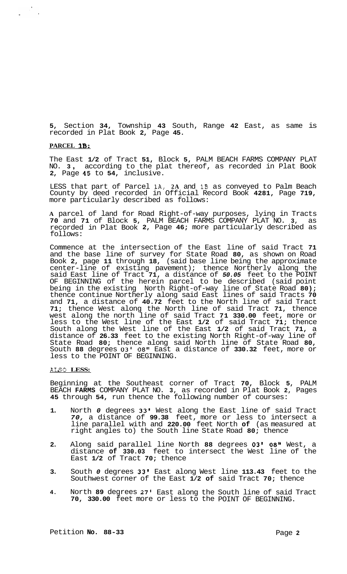**5,** Section **34,** Township **43** South, Range **42** East, as same is recorded in Plat Book **2,** Page **45.** 

# **PARCEL 1B:**

 $\frac{\partial}{\partial x} \frac{\partial}{\partial y} = 0$ 

The East **1/2** of Tract **51,** Block **5,** PALM BEACH FARMS COMPANY PLAT NO. **3** , according to the plat thereof, as recorded in Plat Book **2,** Page **45** to **54,** inclusive.

LESS that part of Parcel lA, **2A** and **1B** as conveyed to Palm Beach County by deed recorded in Official Record Book **4281,** Page **719,**  more particularly described as follows:

**A** parcel of land for Road Right-of-way purposes, lying in Tracts **70** and **71** of Block **5,** PALM BEACH FARMS COMPANY PLAT NO. **3,** as recorded in Plat Book **2,** Page **46;** more particularly described as follows:

Commence at the intersection of the East line of said Tract **71**  and the base line of survey for State Road **80,** as shown on Road Book **2,** page **11** through **18,** (said base line being the approximate center-line of existing pavement); thence Northerly along the said East line of Tract **71,** a distance of *50.05* feet to the POINT OF BEGINNING of the herein parcel to be described (said point being in the existing North Right-of-way line of State Road **80);**  thence continue Northerly along said East lines of said Tracts **70**  and **71,** a distance of **40.72** feet to the North line of said Tract **71;** thence West along the North line of said Tract **71,** thence west along the north line of said Tract **71 330.00** feet, more or less to the West line of the East **1/2** of said Tract **71;** thence South along the West line of the East **1/2** of said Tract **71,** a distance of **26.33** feet to the existing North Right-of-way line of State Road **80;** thence along said North line of State Road **80,**  South **88** degrees **03' 08"** East a distance of **330.32** feet, more or less to the POINT OF BEGINNING.

### ALSO **LESS:**

Beginning at the Southeast corner of Tract **70,** Block **5,** PALM BEACH **FARMS** COMPANY PLAT NO. **3,** as recorded in Plat Book **2,** Pages **45** through **54,** run thence the following number of courses:

- **1.** North *0* degrees **33'** West along the East line of said Tract *70,* a distance of **99.38** feet, more or less to intersect a line parallel with and **220.00** feet North **of** (as measured at right angles to) the South line State Road **80;** thence
- **2.** Along said parallel line North **88** degrees **03' 08"** West, a distance **of 330.03** feet to intersect the West line of the East **1/2** of Tract **70;** thence
- **3.** South *0* degrees **33'** East along West line **113.43** feet to the Southwest corner of the East **1/2 of** said Tract **70;** thence
- **4.** North **89** degrees **27'** East along the South line of said Tract **70, 330.00** feet more or less to the POINT OF BEGINNING.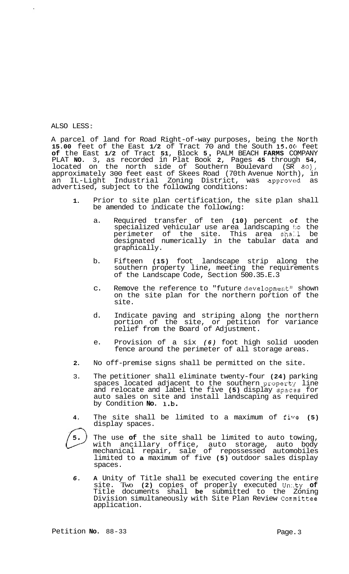ALSO LESS :

A parcel of land for Road Right-of-way purposes, being the North **15.00** feet of the East **1/2** of Tract 70 and the South **15.0C1** feet **of** the East **1/2** of Tract **51,** Block **5** , PALM BEACH **FARMS** COMPANY PLAT **NO.** 3, as recorded in Plat Book **2,** Pages **45** through **54,**  located on the north side of Southern Boulevard (SR *80),*  approximately 300 feet east of Skees Road (70th Avenue North), in an IL-Light Industrial Zoning District, was approved as advertised, subject to the following conditions:

- **1.**  Prior to site plan certification, the site plan shall be amended to indicate the following:
	- a. Required transfer of ten **(10)** percent **oE** the specialized vehicular use area landscaping **to** the perimeter of the site. This area shall be designated numerically in the tabular data and graphically.
	- b. Fifteen **(15)** foot landscape strip along the southern property line, meeting the requirements of the Landscape Code, Section 500.35.E.3
	- c. Remove the reference to "future development" shown on the site plan for the northern portion of the site.
	- d. Indicate paving and striping along the northern portion of the site, or petition for variance relief from the Board of Adjustment.
	- e. Provision of a six *(6)* foot high solid uooden fence around the perimeter of all storage areas.
- **2.**  No off-premise signs shall be permitted on the site.
- 3. The petitioner shall eliminate twenty-four **(24)** parking spaces located adjacent to the southern property line and relocate and label the five **(5)** display spaczs for auto sales on site and install landscaping as required by Condition **No. 1.b.**
- **4.**  The site shall be limited to a maximum of five (5) display spaces.



- The use **of** the site shall be limited to auto towing, with ancillary office, auto storage, auto body mechanical repair, sale of repossessed automobiles limited to **a** maximum of five **(5)** outdoor sales display spaces.
- *6.*  **A** Unity of Title shall be executed covering the entire site. Two **(2)** copies of properly executed Un:.ty **of**  Title documents shall **be** submitted to the Zoning Division simultaneously with Site Plan Review Committee application.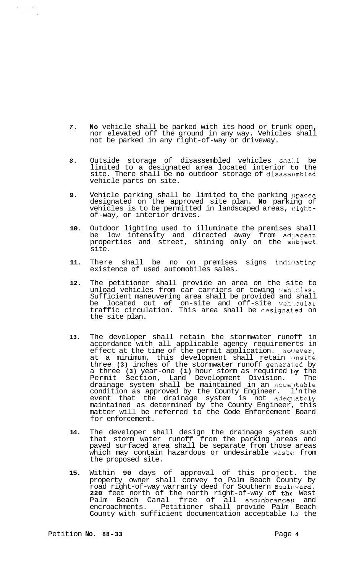- *7.* **No** vehicle shall be parked with its hood or trunk open, nor elevated off the ground in any way. Vehicles shall not be parked in any right-of-way or driveway.
- 8. Outside storage of disassembled vehicles shall be limited to a designated area located interior **to** the site. There shall be **no** outdoor storage of disassembled vehicle parts on site.
- **9.** Vehicle parking shall be limited to the parking :;paces designated on the approved site plan. **No** parking of vehicles is to be permitted in landscaped areas, nightof-way, or interior drives.
- **10.** Outdoor lighting used to illuminate the premises shall be low intensity and directed away from adjacent properties and street, shining only on the subject site.
- 11. There shall be no on premises signs indicating existence of used automobiles sales.
- **12.** The petitioner shall provide an area on the site to unload vehicles from car carriers or towing veh:.cles. Sufficient maneuvering area shall be provided and shall<br>be located out of on-site and off-site vehicular be located out **of** on-site and off-site veh:.cular traffic circulation. This area shall be designat.ed on the site plan.
- **13.** The developer shall retain the stormwater runoff in accordance with all applicable agency requiremerts in effect at the time of the permit application. Holrever, at a minimum, this development shall retain onsite three **(3)** inches of the stormwater runoff genera1:ed by a three **(3)** year-one **(1)** hour storm as required 1)y the Permit Section, Land Development Division. The drainage system shall be maintained in an acceptable condition as approved by the County Engineer. l'n the event that the drainage system is not adequately maintained as determined by the County Engineer, this matter will be referred to the Code Enforcement Board for enforcement.
- **14.** The developer shall design the drainage system such that storm water runoff from the parking areas and paved surfaced area shall be separate from those areas which may contain hazardous or undesirable waste from the proposed site.
- **15.** Within **90** days of approval of this project. the property owner shall convey to Palm Beach County by road right-of-way warranty deed for Southern Boulcward, **220** feet north of the north right-of-way of the West Palm Beach Canal free of all encumbrances and encroachments. Petitioner shall provide Palm Beach County with sufficient documentation acceptable **l:o** the

 $\frac{1}{2}$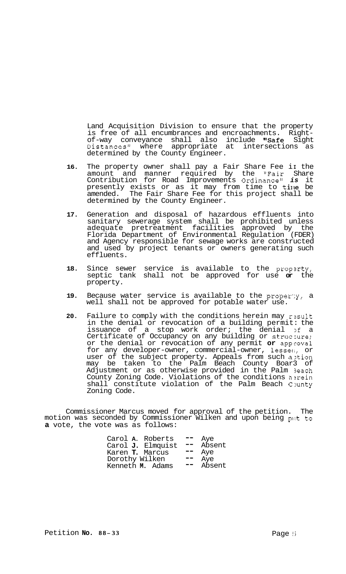Land Acquisition Division to ensure that the property is free of all encumbrances and encroachments. Right-<br>of-way conveyance shall also include "Safe Sight Distances" where appropriate at intersections as determined by the County Engineer.

- 16. The property owner shall pay a Fair Share Fee ii the amount and manner required by the "Fair Share Contribution for Road Improvements Ordinance" *is* it presently exists or as it may from time to tine be amended. The Fair Share Fee for this project shall be determined by the County Engineer.
- **17.** Generation and disposal of hazardous effluents into sanitary sewerage system shall be prohibited unless adequate pretreatment facilities approved by the Florida Department of Environmental Regulation (FDER) and Agency responsible for sewage works are constructed and used by project tenants or owners generating such effluents.
- **18.** Since sewer service is available to the propxty, septic tank shall not be approved for use **or** the property.
- **19.** Because water service is available to the proper:y, a well shall not be approved for potable water use.
- **20.** Failure to comply with the conditions herein may result in the denial or revocation of a building permit: the issuance of a stop work order; the denial of a Certificate of Occupancy on any building or structure; or the denial or revocation of any permit **or** approval for any developer-owner, commercial-owner, lessee, or user of the subject property. Appeals from such a:tion may be taken to the Palm Beach County Boar3 of Adjustment or as otherwise provided in the Palm 3each County Zoning Code. Violations of the conditions herein  $shall$  constitute violation of the Palm Beach County Zoning Code.

Commissioner Marcus moved for approval of the petition. The motion was seconded by Commissioner Wilken and upon being put to **a** vote, the vote was as follows:

| Carol A. Roberts       |                   |                              | Aye    |
|------------------------|-------------------|------------------------------|--------|
|                        | Carol J. Elmquist | $\qquad \qquad \blacksquare$ | Absent |
| Karen <b>T.</b> Marcus |                   | --                           | Aye    |
| Dorothy Wilken         |                   |                              | Aye    |
| Kenneth M. Adams       |                   |                              | Absent |